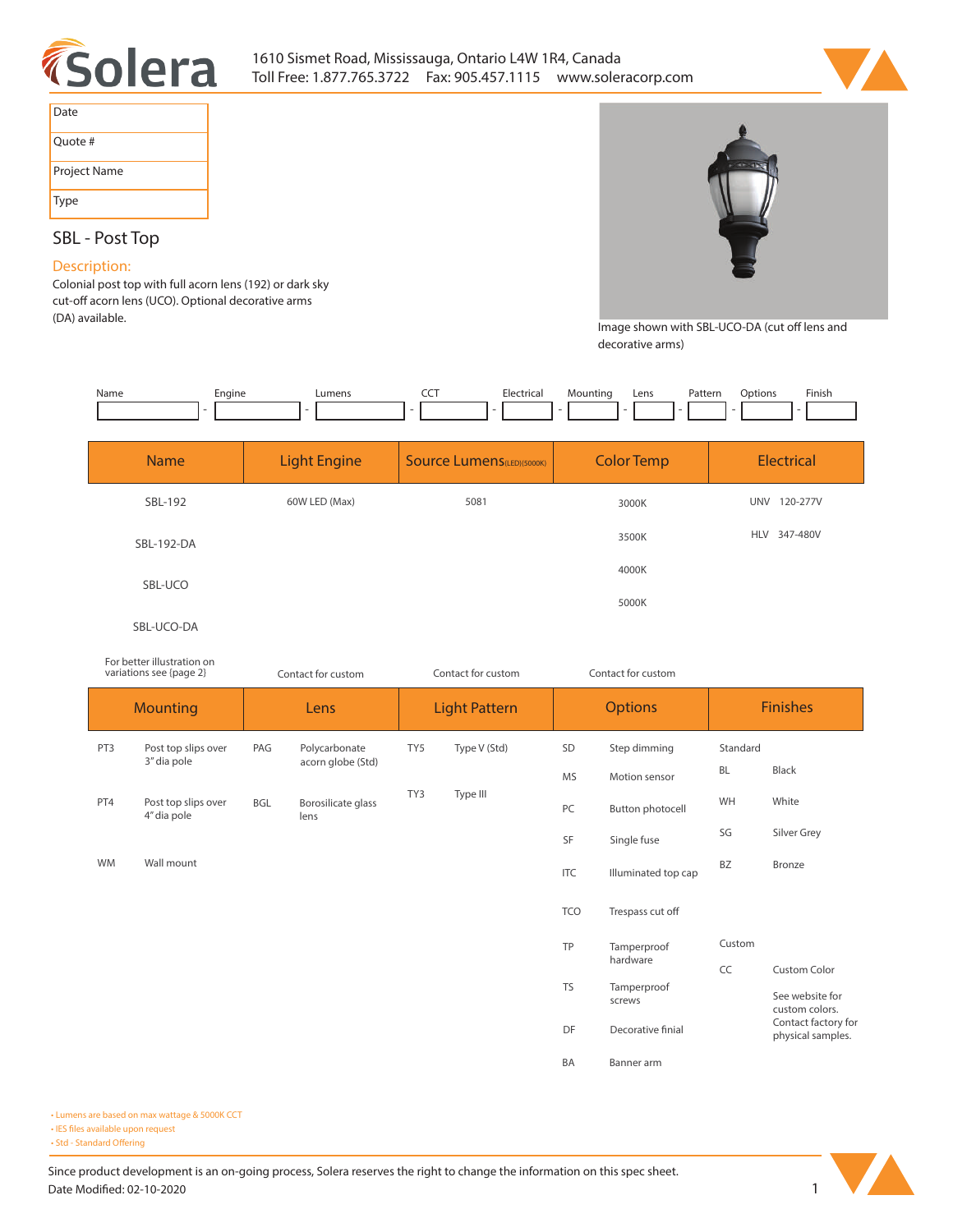



| Date         |
|--------------|
| Ouote #      |
| Project Name |
| Type         |

# **SBL - Post Top**

## **Description:**

**Colonial post top with full acorn lens (192) or dark sky**  cut-off acorn lens (UCO). Optional decorative arms **(DA) available.** 



Image shown with SBL-UCO-DA (cut off lens and **decorative arms)**

| Name | Engine | ∟umens | Electrica | Mounting | Lens | Pattern | :Dotion | Finish |
|------|--------|--------|-----------|----------|------|---------|---------|--------|
|      |        |        |           |          |      |         |         |        |

| <b>Name</b> | <b>Light Engine</b> | <b>Source Lumens</b> (LED)(5000K) | <b>Color Temp</b> | <b>Electrical</b>      |
|-------------|---------------------|-----------------------------------|-------------------|------------------------|
| SBL-192     | 60W LED (Max)       | 5081                              | 3000K             | 120-277V<br><b>UNV</b> |
| SBL-192-DA  |                     |                                   | 3500K             | HLV 347-480V           |
| SBL-UCO     |                     |                                   | 4000K             |                        |
|             |                     |                                   | 5000K             |                        |
| SBL-UCO-DA  |                     |                                   |                   |                        |

#### *For better illustration on variations see {page 2}*

| variations see {page 2} |                                    | Contact for custom |                                    |                 | Contact for custom   |            | Contact for custom    |           |                                          |  |
|-------------------------|------------------------------------|--------------------|------------------------------------|-----------------|----------------------|------------|-----------------------|-----------|------------------------------------------|--|
| <b>Mounting</b>         |                                    | Lens               |                                    |                 | <b>Light Pattern</b> |            | <b>Options</b>        |           | <b>Finishes</b>                          |  |
| PT3                     | Post top slips over<br>3" dia pole | PAG                | Polycarbonate<br>acorn globe (Std) | TY5             | Type V (Std)         | SD         | Step dimming          | Standard  |                                          |  |
|                         |                                    |                    |                                    |                 |                      | MS         | Motion sensor         | <b>BL</b> | Black                                    |  |
| PT4                     | Post top slips over<br>4" dia pole | <b>BGL</b>         | Borosilicate glass<br>lens         | TY3<br>Type III |                      | PC         | Button photocell      | WH        | White                                    |  |
|                         |                                    |                    |                                    |                 |                      | SF         | Single fuse           | SG        | Silver Grey                              |  |
| <b>WM</b>               | Wall mount                         |                    |                                    |                 |                      | <b>ITC</b> | Illuminated top cap   | <b>BZ</b> | Bronze                                   |  |
|                         |                                    |                    |                                    |                 |                      | <b>TCO</b> | Trespass cut off      |           |                                          |  |
|                         |                                    |                    |                                    |                 |                      | TP         | Tamperproof           | Custom    |                                          |  |
|                         |                                    |                    |                                    |                 |                      |            | hardware              | CC        | <b>Custom Color</b>                      |  |
|                         |                                    |                    |                                    |                 |                      | <b>TS</b>  | Tamperproof<br>screws |           | See website for<br>custom colors.        |  |
|                         |                                    |                    |                                    |                 |                      | DF         | Decorative finial     |           | Contact factory for<br>physical samples. |  |
|                         |                                    |                    |                                    |                 |                      | <b>BA</b>  | Banner arm            |           |                                          |  |

**• Lumens are based on max wattage & 5000K CCT**

**• IES files available upon request** 



<sup>•</sup> Std - Standard Offering